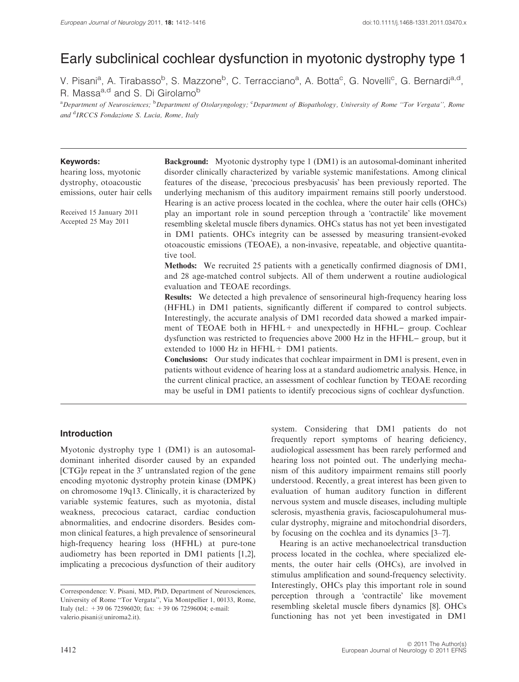# Early subclinical cochlear dysfunction in myotonic dystrophy type 1

V. Pisani<sup>a</sup>, A. Tirabasso<sup>b</sup>, S. Mazzone<sup>b</sup>, C. Terracciano<sup>a</sup>, A. Botta<sup>c</sup>, G. Novelli<sup>c</sup>, G. Bernardi<sup>a,d</sup>, R. Massa<sup>a,d</sup> and S. Di Girolamo<sup>b</sup>

<sup>a</sup> Department of Neurosciences; <sup>b</sup> Department of Otolaryngology; <sup>c</sup> Department of Biopathology, University of Rome "Tor Vergata", Rome and <sup>d</sup>IRCCS Fondazione S. Lucia, Rome, Italy

#### Keywords:

hearing loss, myotonic dystrophy, otoacoustic emissions, outer hair cells

Received 15 January 2011 Accepted 25 May 2011

Background: Myotonic dystrophy type 1 (DM1) is an autosomal-dominant inherited disorder clinically characterized by variable systemic manifestations. Among clinical features of the disease, 'precocious presbyacusis' has been previously reported. The underlying mechanism of this auditory impairment remains still poorly understood. Hearing is an active process located in the cochlea, where the outer hair cells (OHCs) play an important role in sound perception through a 'contractile' like movement resembling skeletal muscle fibers dynamics. OHCs status has not yet been investigated in DM1 patients. OHCs integrity can be assessed by measuring transient-evoked otoacoustic emissions (TEOAE), a non-invasive, repeatable, and objective quantitative tool.

Methods: We recruited 25 patients with a genetically confirmed diagnosis of DM1, and 28 age-matched control subjects. All of them underwent a routine audiological evaluation and TEOAE recordings.

Results: We detected a high prevalence of sensorineural high-frequency hearing loss (HFHL) in DM1 patients, significantly different if compared to control subjects. Interestingly, the accurate analysis of DM1 recorded data showed a marked impairment of TEOAE both in  $HFHL+$  and unexpectedly in  $HFHL-$  group. Cochlear dysfunction was restricted to frequencies above 2000 Hz in the HFHL– group, but it extended to 1000 Hz in HFHL + DM1 patients.

Conclusions: Our study indicates that cochlear impairment in DM1 is present, even in patients without evidence of hearing loss at a standard audiometric analysis. Hence, in the current clinical practice, an assessment of cochlear function by TEOAE recording may be useful in DM1 patients to identify precocious signs of cochlear dysfunction.

### Introduction

Myotonic dystrophy type 1 (DM1) is an autosomaldominant inherited disorder caused by an expanded  $[CTG]$ n repeat in the 3' untranslated region of the gene encoding myotonic dystrophy protein kinase (DMPK) on chromosome 19q13. Clinically, it is characterized by variable systemic features, such as myotonia, distal weakness, precocious cataract, cardiac conduction abnormalities, and endocrine disorders. Besides common clinical features, a high prevalence of sensorineural high-frequency hearing loss (HFHL) at pure-tone audiometry has been reported in DM1 patients [1,2], implicating a precocious dysfunction of their auditory system. Considering that DM1 patients do not frequently report symptoms of hearing deficiency, audiological assessment has been rarely performed and hearing loss not pointed out. The underlying mechanism of this auditory impairment remains still poorly understood. Recently, a great interest has been given to evaluation of human auditory function in different nervous system and muscle diseases, including multiple sclerosis, myasthenia gravis, facioscapulohumeral muscular dystrophy, migraine and mitochondrial disorders, by focusing on the cochlea and its dynamics [3–7].

Hearing is an active mechanoelectrical transduction process located in the cochlea, where specialized elements, the outer hair cells (OHCs), are involved in stimulus amplification and sound-frequency selectivity. Interestingly, OHCs play this important role in sound perception through a 'contractile' like movement resembling skeletal muscle fibers dynamics [8]. OHCs functioning has not yet been investigated in DM1

Correspondence: V. Pisani, MD, PhD, Department of Neurosciences, University of Rome ''Tor Vergata'', Via Montpellier 1, 00133, Rome, Italy (tel.: +39 06 72596020; fax: +39 06 72596004; e-mail: valerio.pisani@uniroma2.it).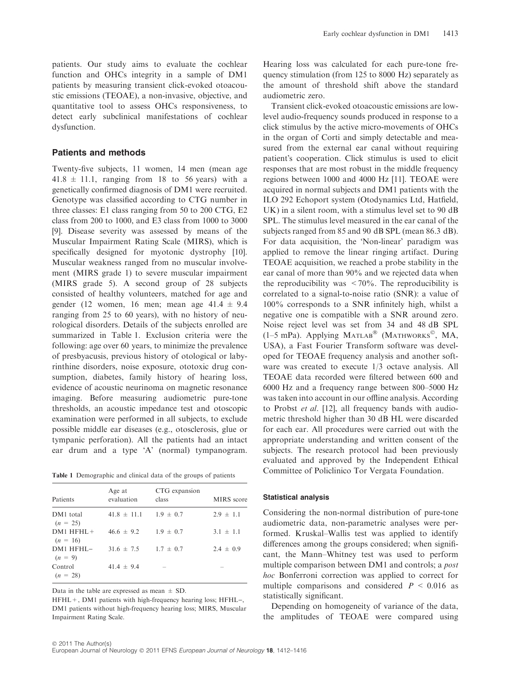patients. Our study aims to evaluate the cochlear function and OHCs integrity in a sample of DM1 patients by measuring transient click-evoked otoacoustic emissions (TEOAE), a non-invasive, objective, and quantitative tool to assess OHCs responsiveness, to detect early subclinical manifestations of cochlear dysfunction.

## Patients and methods

Twenty-five subjects, 11 women, 14 men (mean age  $41.8 \pm 11.1$ , ranging from 18 to 56 years) with a genetically confirmed diagnosis of DM1 were recruited. Genotype was classified according to CTG number in three classes: E1 class ranging from 50 to 200 CTG, E2 class from 200 to 1000, and E3 class from 1000 to 3000 [9]. Disease severity was assessed by means of the Muscular Impairment Rating Scale (MIRS), which is specifically designed for myotonic dystrophy [10]. Muscular weakness ranged from no muscular involvement (MIRS grade 1) to severe muscular impairment (MIRS grade 5). A second group of 28 subjects consisted of healthy volunteers, matched for age and gender (12 women, 16 men; mean age  $41.4 \pm 9.4$ ranging from 25 to 60 years), with no history of neurological disorders. Details of the subjects enrolled are summarized in Table 1. Exclusion criteria were the following: age over 60 years, to minimize the prevalence of presbyacusis, previous history of otological or labyrinthine disorders, noise exposure, ototoxic drug consumption, diabetes, family history of hearing loss, evidence of acoustic neurinoma on magnetic resonance imaging. Before measuring audiometric pure-tone thresholds, an acoustic impedance test and otoscopic examination were performed in all subjects, to exclude possible middle ear diseases (e.g., otosclerosis, glue or tympanic perforation). All the patients had an intact ear drum and a type 'A' (normal) tympanogram.

Table 1 Demographic and clinical data of the groups of patients

| Patients                    | Age at<br>evaluation          | CTG expansion<br>class | MIRS score    |
|-----------------------------|-------------------------------|------------------------|---------------|
| DM1 total<br>$(n = 25)$     | $41.8 \pm 11.1$ $1.9 \pm 0.7$ |                        | $2.9 \pm 1.1$ |
| $DM1 HFHL+$<br>$(n = 16)$   | $46.6 \pm 9.2$                | $1.9 \pm 0.7$          | $3.1 \pm 1.1$ |
| $DM1$ HFHL $-$<br>$(n = 9)$ | $31.6 \pm 7.5$                | $1.7 \pm 0.7$          | $2.4 \pm 0.9$ |
| Control<br>$(n = 28)$       | $41.4 \pm 9.4$                |                        |               |

Data in the table are expressed as mean  $\pm$  SD.

 $HFHL+, DM1$  patients with high-frequency hearing loss;  $HFHL-,$ DM1 patients without high-frequency hearing loss; MIRS, Muscular Impairment Rating Scale.

Hearing loss was calculated for each pure-tone frequency stimulation (from 125 to 8000 Hz) separately as the amount of threshold shift above the standard audiometric zero.

Transient click-evoked otoacoustic emissions are lowlevel audio-frequency sounds produced in response to a click stimulus by the active micro-movements of OHCs in the organ of Corti and simply detectable and measured from the external ear canal without requiring patient's cooperation. Click stimulus is used to elicit responses that are most robust in the middle frequency regions between 1000 and 4000 Hz [11]. TEOAE were acquired in normal subjects and DM1 patients with the ILO 292 Echoport system (Otodynamics Ltd, Hatfield, UK) in a silent room, with a stimulus level set to 90 dB SPL. The stimulus level measured in the ear canal of the subjects ranged from 85 and 90 dB SPL (mean 86.3 dB). For data acquisition, the 'Non-linear' paradigm was applied to remove the linear ringing artifact. During TEOAE acquisition, we reached a probe stability in the ear canal of more than 90% and we rejected data when the reproducibility was  $\langle 70\% \rangle$ . The reproducibility is correlated to a signal-to-noise ratio (SNR): a value of 100% corresponds to a SNR infinitely high, whilst a negative one is compatible with a SNR around zero. Noise reject level was set from 34 and 48 dB SPL (1-5 mPa). Applying MATLAB<sup>®</sup> (MATHWORKS<sup>®</sup>, MA, USA), a Fast Fourier Transform software was developed for TEOAE frequency analysis and another software was created to execute 1/3 octave analysis. All TEOAE data recorded were filtered between 600 and 6000 Hz and a frequency range between 800–5000 Hz was taken into account in our offline analysis. According to Probst et al. [12], all frequency bands with audiometric threshold higher than 30 dB HL were discarded for each ear. All procedures were carried out with the appropriate understanding and written consent of the subjects. The research protocol had been previously evaluated and approved by the Independent Ethical Committee of Policlinico Tor Vergata Foundation.

#### Statistical analysis

Considering the non-normal distribution of pure-tone audiometric data, non-parametric analyses were performed. Kruskal–Wallis test was applied to identify differences among the groups considered; when significant, the Mann–Whitney test was used to perform multiple comparison between DM1 and controls; a post hoc Bonferroni correction was applied to correct for multiple comparisons and considered  $P < 0.016$  as statistically significant.

Depending on homogeneity of variance of the data, the amplitudes of TEOAE were compared using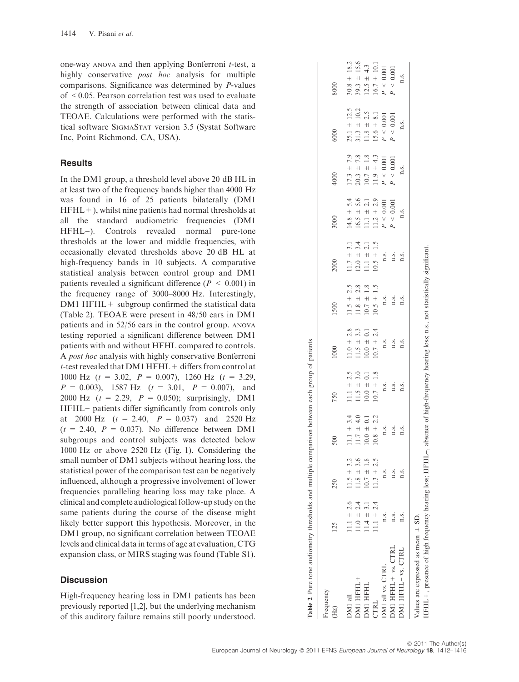one-way ANOVA and then applying Bonferroni t-test, a highly conservative *post hoc* analysis for multiple comparisons. Significance was determined by P-values of <0.05. Pearson correlation test was used to evaluate the strength of association between clinical data and TEOAE. Calculations were performed with the statistical software SIGMASTAT version 3.5 (Systat Software Inc, Point Richmond, CA, USA).

#### **Results**

In the DM1 group, a threshold level above 20 dB HL in at least two of the frequency bands higher than 4000 Hz was found in 16 of 25 patients bilaterally (DM1  $HFHL+$ ), whilst nine patients had normal thresholds at all the standard audiometric frequencies (DM1 HFHL)). Controls revealed normal pure-tone thresholds at the lower and middle frequencies, with occasionally elevated thresholds above 20 dB HL at high-frequency bands in 10 subjects. A comparative statistical analysis between control group and DM1 patients revealed a significant difference ( $P < 0.001$ ) in the frequency range of 3000–8000 Hz. Interestingly, DM1 HFHL + subgroup confirmed the statistical data (Table 2). TEOAE were present in 48/50 ears in DM1 patients and in 52/56 ears in the control group. ANOVA testing reported a significant difference between DM1 patients with and without HFHL compared to controls. A post hoc analysis with highly conservative Bonferroni  $t$ -test revealed that DM1 HFHL + differs from control at 1000 Hz  $(t = 3.02, P = 0.007)$ , 1260 Hz  $(t = 3.29,$  $P = 0.003$ , 1587 Hz  $(t = 3.01, P = 0.007)$ , and 2000 Hz  $(t = 2.29, P = 0.050)$ ; surprisingly, DM1 HFHL– patients differ significantly from controls only at 2000 Hz  $(t = 2.40, P = 0.037)$  and 2520 Hz  $(t = 2.40, P = 0.037)$ . No difference between DM1 subgroups and control subjects was detected below 1000 Hz or above 2520 Hz (Fig. 1). Considering the small number of DM1 subjects without hearing loss, the statistical power of the comparison test can be negatively influenced, although a progressive involvement of lower frequencies paralleling hearing loss may take place. A clinical and complete audiological follow-up study on the same patients during the course of the disease might likely better support this hypothesis. Moreover, in the DM1 group, no significant correlation between TEOAE levels and clinical data in terms of age at evaluation, CTG expansion class, or MIRS staging was found (Table S1).

### **Discussion**

High-frequency hearing loss in DM1 patients has been previously reported [1,2], but the underlying mechanism of this auditory failure remains still poorly understood.

| Frequency<br>(Hz)                   | 125            | 250            | 500               | 750                                                                                                             | 1000                                                                                                            | 1500                                                                                                                                                    | 2000                                                                         | 3000                           | 4000                | 6000                               | 8000                                                                                   |
|-------------------------------------|----------------|----------------|-------------------|-----------------------------------------------------------------------------------------------------------------|-----------------------------------------------------------------------------------------------------------------|---------------------------------------------------------------------------------------------------------------------------------------------------------|------------------------------------------------------------------------------|--------------------------------|---------------------|------------------------------------|----------------------------------------------------------------------------------------|
| DM1 all                             | 11.1 $\pm$ 2.6 | $11.5 \pm 3.2$ | $11.1 \pm 3.4$    | $11.1 \pm 2.5$                                                                                                  | $11.0 \pm 2.8$                                                                                                  |                                                                                                                                                         |                                                                              | $14.8 \pm 5.4$                 | $17.3 \pm 7.9$      |                                    |                                                                                        |
| DM1 HFHL+                           | $11.0 \pm 2.4$ | $11.8 \pm 3.6$ | $\pm$ 4.0<br>11.7 | $11.5 \pm 3.0$                                                                                                  | $11.5 \pm 3.3$                                                                                                  | $11.5 \pm 2.5$<br>$11.8 \pm 2.8$<br>$10.7 \pm 1.8$                                                                                                      | $11.7 \pm 3.1$<br>$12.0 \pm 3.4$                                             | $16.5 \pm 5.6$                 | $20.3 \pm 7.8$      | $25.1 \pm 12.5$<br>$31.3 \pm 10.2$ |                                                                                        |
| DMI HFHL-                           | $11.4 \pm 3.1$ | $10.7 \pm 1.8$ | $\pm$ 0.1<br>10.0 | $10.0 \pm 0.1$                                                                                                  | $10.0 \pm 0.1$                                                                                                  |                                                                                                                                                         | $11.1 \pm 2.1$                                                               | $11.1 \pm 2.1$                 | $\pm$ 1.8<br>10.7   |                                    |                                                                                        |
| CTRL                                | $1.1 \pm 2.4$  | $11.3 \pm 2.5$ | ± 2.2<br>10.8     | $\pm$ 1.8<br>10.7                                                                                               | 2.4<br>$\!+\!$<br>10.7                                                                                          | $10.5 \pm 1.5$                                                                                                                                          | $10.5 \pm 1.5$                                                               | $11.2 \pm 2.9$                 | $\pm$ 4.3<br>11.9   | $11.8 \pm 2.5$<br>15.6 $\pm$ 8.1   |                                                                                        |
| DM1 all vs. CTRL                    | n.s.           | n.s.           |                   |                                                                                                                 |                                                                                                                 |                                                                                                                                                         |                                                                              | $< 0.001$<br>$\mathcal{L}$     | $0.001$<br>$P \leq$ | $P \leq 0.001$                     | $30.8 \pm 18.2$<br>$39.3 \pm 15.6$<br>$12.5 \pm 4.3$<br>$16.7 \pm 10.1$<br>$P < 0.001$ |
| DM1 HFHL+ vs. CTRL                  | n.s.           | n.s.           | $\frac{1}{1}$ .   | $\begin{array}{ccc}\n\mathbf{a} & \mathbf{a} & \mathbf{a} \\ \mathbf{a} & \mathbf{a} & \mathbf{a}\n\end{array}$ | $\begin{array}{cc}\n\mathbf{a} & \mathbf{a} \\ \mathbf{a} & \mathbf{a} \\ \mathbf{a} & \mathbf{a}\n\end{array}$ | $\begin{array}{ccc}\n\mathbf{a} & \mathbf{a} & \mathbf{a} \\ \mathbf{b} & \mathbf{c} & \mathbf{d} \\ \mathbf{c} & \mathbf{d} & \mathbf{d}\n\end{array}$ | $\begin{array}{ccc}\n1.5 & \dots \\ 1.5 & \dots \\ 1.5 & \dots\n\end{array}$ | $\leq 0.001$<br>$\overline{a}$ | $P \leq 0.001$      | $< 0.001$<br>$\overline{P}$        | $<\,0.001$<br>$\overline{a}$                                                           |
| DM1 HFHL- vs. CTRL                  | n.s.           | n.s.           | n.s.              |                                                                                                                 |                                                                                                                 |                                                                                                                                                         |                                                                              | n.s.                           | n.s.                | n.s.                               | n.s.                                                                                   |
| Values are expressed as mean $+$ SD |                |                |                   |                                                                                                                 |                                                                                                                 |                                                                                                                                                         |                                                                              |                                |                     |                                    |                                                                                        |

Values are expressed as mean  $\pm$  SD.

HFHL+, presence of high frequency hearing loss; HFHL), absence of high-frequency hearing loss; n.s., not statistically significant. +, presence of high frequency hearing loss; HFHL-, absence of high-frequency hearing loss; n.s., not statistically significant HFHL-

Table 2 Pure tone audiometry thresholds and multiple comparison between each group of patients

Table 2 Pure tone audiometry thresholds and multiple comparison between each group of patients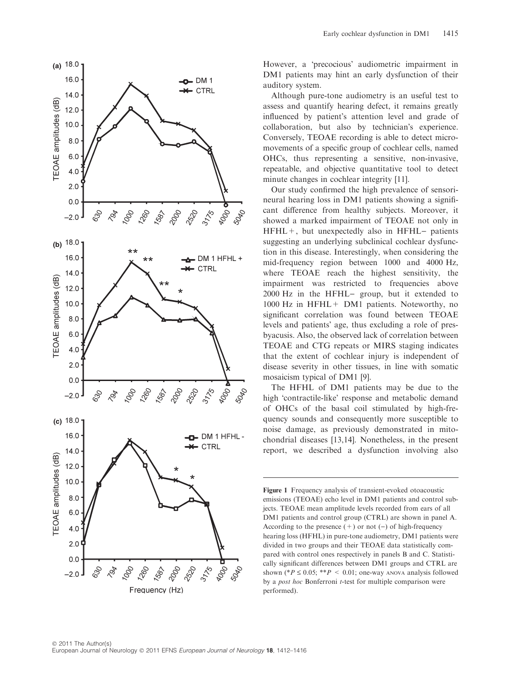

However, a 'precocious' audiometric impairment in DM1 patients may hint an early dysfunction of their auditory system.

Although pure-tone audiometry is an useful test to assess and quantify hearing defect, it remains greatly influenced by patient's attention level and grade of collaboration, but also by technician's experience. Conversely, TEOAE recording is able to detect micromovements of a specific group of cochlear cells, named OHCs, thus representing a sensitive, non-invasive, repeatable, and objective quantitative tool to detect minute changes in cochlear integrity [11].

Our study confirmed the high prevalence of sensorineural hearing loss in DM1 patients showing a significant difference from healthy subjects. Moreover, it showed a marked impairment of TEOAE not only in  $HFHL+$ , but unexpectedly also in  $HFHL-$  patients suggesting an underlying subclinical cochlear dysfunction in this disease. Interestingly, when considering the mid-frequency region between 1000 and 4000 Hz, where TEOAE reach the highest sensitivity, the impairment was restricted to frequencies above 2000 Hz in the HFHL- group, but it extended to 1000 Hz in HFHL+ DM1 patients. Noteworthy, no significant correlation was found between TEOAE levels and patients' age, thus excluding a role of presbyacusis. Also, the observed lack of correlation between TEOAE and CTG repeats or MIRS staging indicates that the extent of cochlear injury is independent of disease severity in other tissues, in line with somatic mosaicism typical of DM1 [9].

The HFHL of DM1 patients may be due to the high 'contractile-like' response and metabolic demand of OHCs of the basal coil stimulated by high-frequency sounds and consequently more susceptible to noise damage, as previously demonstrated in mitochondrial diseases [13,14]. Nonetheless, in the present report, we described a dysfunction involving also

Figure 1 Frequency analysis of transient-evoked otoacoustic emissions (TEOAE) echo level in DM1 patients and control subjects. TEOAE mean amplitude levels recorded from ears of all DM1 patients and control group (CTRL) are shown in panel A. According to the presence  $(+)$  or not  $(-)$  of high-frequency hearing loss (HFHL) in pure-tone audiometry, DM1 patients were divided in two groups and their TEOAE data statistically compared with control ones respectively in panels B and C. Statistically significant differences between DM1 groups and CTRL are shown (\* $P \le 0.05$ ; \*\* $P < 0.01$ ; one-way ANOVA analysis followed by a *post hoc* Bonferroni *t*-test for multiple comparison were performed).